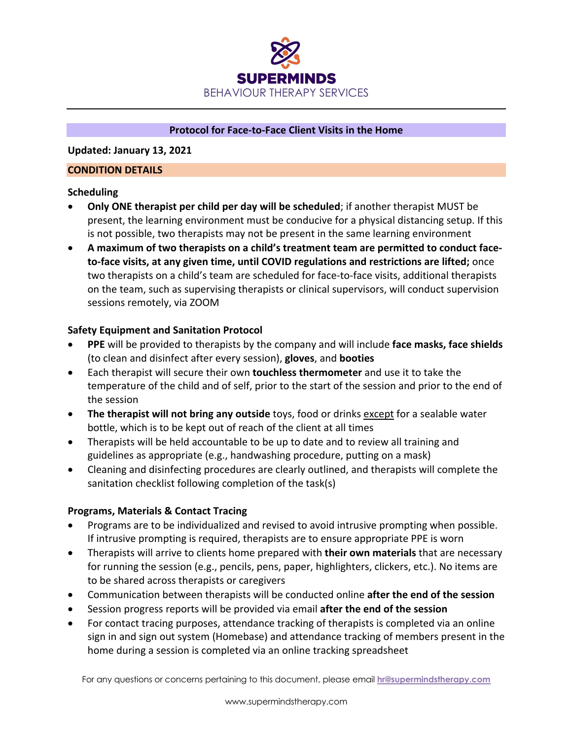

#### **Protocol for Face-to-Face Client Visits in the Home**

**Updated: January 13, 2021**

#### **CONDITION DETAILS**

## **Scheduling**

- **Only ONE therapist per child per day will be scheduled**; if another therapist MUST be present, the learning environment must be conducive for a physical distancing setup. If this is not possible, two therapists may not be present in the same learning environment
- **A maximum of two therapists on a child's treatment team are permitted to conduct faceto-face visits, at any given time, until COVID regulations and restrictions are lifted;** once two therapists on a child's team are scheduled for face-to-face visits, additional therapists on the team, such as supervising therapists or clinical supervisors, will conduct supervision sessions remotely, via ZOOM

## **Safety Equipment and Sanitation Protocol**

- **PPE** will be provided to therapists by the company and will include **face masks, face shields** (to clean and disinfect after every session), **gloves**, and **booties**
- Each therapist will secure their own **touchless thermometer** and use it to take the temperature of the child and of self, prior to the start of the session and prior to the end of the session
- **The therapist will not bring any outside** toys, food or drinks **except** for a sealable water bottle, which is to be kept out of reach of the client at all times
- Therapists will be held accountable to be up to date and to review all training and guidelines as appropriate (e.g., handwashing procedure, putting on a mask)
- Cleaning and disinfecting procedures are clearly outlined, and therapists will complete the sanitation checklist following completion of the task(s)

## **Programs, Materials & Contact Tracing**

- Programs are to be individualized and revised to avoid intrusive prompting when possible. If intrusive prompting is required, therapists are to ensure appropriate PPE is worn
- Therapists will arrive to clients home prepared with **their own materials** that are necessary for running the session (e.g., pencils, pens, paper, highlighters, clickers, etc.). No items are to be shared across therapists or caregivers
- Communication between therapists will be conducted online **after the end of the session**
- Session progress reports will be provided via email **after the end of the session**
- For contact tracing purposes, attendance tracking of therapists is completed via an online sign in and sign out system (Homebase) and attendance tracking of members present in the home during a session is completed via an online tracking spreadsheet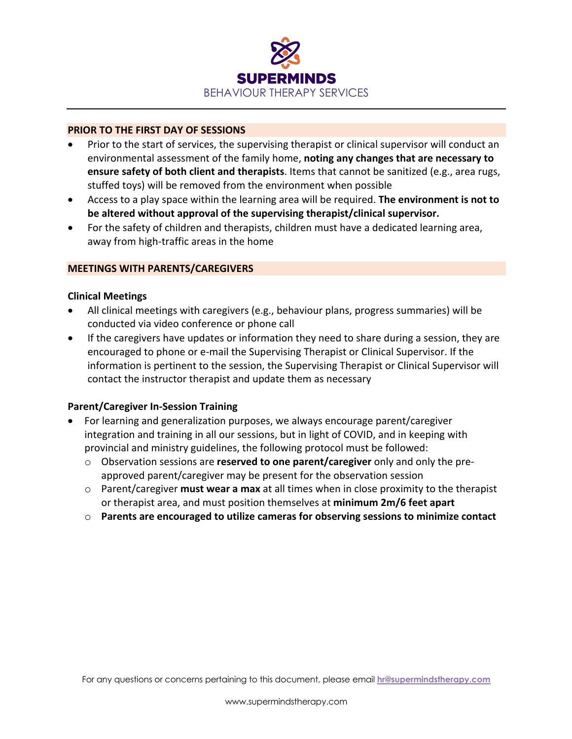

#### **PRIOR TO THE FIRST DAY OF SESSIONS**

- Prior to the start of services, the supervising therapist or clinical supervisor will conduct an environmental assessment of the family home, **noting any changes that are necessary to ensure safety of both client and therapists**. Items that cannot be sanitized (e.g., area rugs, stuffed toys) will be removed from the environment when possible
- Access to a play space within the learning area will be required. **The environment is not to be altered without approval of the supervising therapist/clinical supervisor.**
- For the safety of children and therapists, children must have a dedicated learning area, away from high-traffic areas in the home

## **MEETINGS WITH PARENTS/CAREGIVERS**

#### **Clinical Meetings**

- All clinical meetings with caregivers (e.g., behaviour plans, progress summaries) will be conducted via video conference or phone call
- If the caregivers have updates or information they need to share during a session, they are encouraged to phone or e-mail the Supervising Therapist or Clinical Supervisor. If the information is pertinent to the session, the Supervising Therapist or Clinical Supervisor will contact the instructor therapist and update them as necessary

## **Parent/Caregiver In-Session Training**

- For learning and generalization purposes, we always encourage parent/caregiver integration and training in all our sessions, but in light of COVID, and in keeping with provincial and ministry guidelines, the following protocol must be followed:
	- o Observation sessions are **reserved to one parent/caregiver** only and only the preapproved parent/caregiver may be present for the observation session
	- o Parent/caregiver **must wear a max** at all times when in close proximity to the therapist or therapist area, and must position themselves at **minimum 2m/6 feet apart**
	- o **Parents are encouraged to utilize cameras for observing sessions to minimize contact**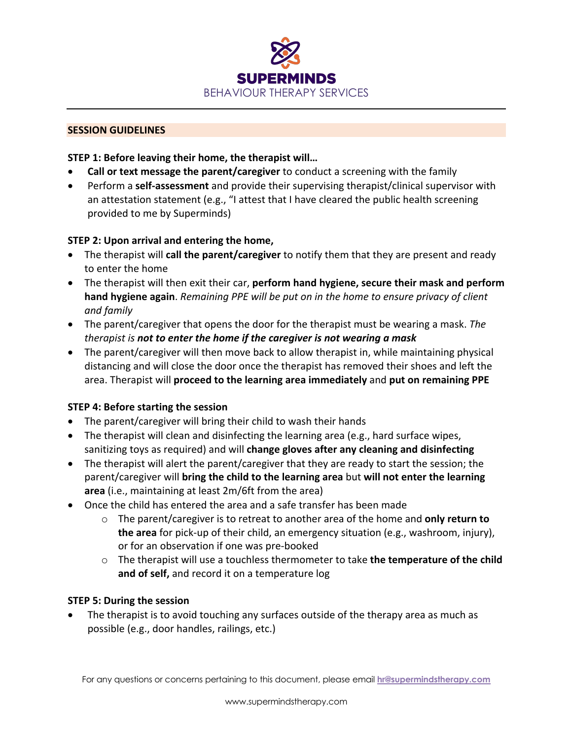

#### **SESSION GUIDELINES**

## **STEP 1: Before leaving their home, the therapist will…**

- **Call or text message the parent/caregiver** to conduct a screening with the family
- Perform a **self-assessment** and provide their supervising therapist/clinical supervisor with an attestation statement (e.g., "I attest that I have cleared the public health screening provided to me by Superminds)

## **STEP 2: Upon arrival and entering the home,**

- The therapist will **call the parent/caregiver** to notify them that they are present and ready to enter the home
- The therapist will then exit their car, **perform hand hygiene, secure their mask and perform hand hygiene again**. *Remaining PPE will be put on in the home to ensure privacy of client and family*
- The parent/caregiver that opens the door for the therapist must be wearing a mask. *The therapist is not to enter the home if the caregiver is not wearing a mask*
- The parent/caregiver will then move back to allow therapist in, while maintaining physical distancing and will close the door once the therapist has removed their shoes and left the area. Therapist will **proceed to the learning area immediately** and **put on remaining PPE**

## **STEP 4: Before starting the session**

- The parent/caregiver will bring their child to wash their hands
- The therapist will clean and disinfecting the learning area (e.g., hard surface wipes, sanitizing toys as required) and will **change gloves after any cleaning and disinfecting**
- The therapist will alert the parent/caregiver that they are ready to start the session; the parent/caregiver will **bring the child to the learning area** but **will not enter the learning area** (i.e., maintaining at least 2m/6ft from the area)
- Once the child has entered the area and a safe transfer has been made
	- o The parent/caregiver is to retreat to another area of the home and **only return to the area** for pick-up of their child, an emergency situation (e.g., washroom, injury), or for an observation if one was pre-booked
	- o The therapist will use a touchless thermometer to take **the temperature of the child and of self,** and record it on a temperature log

## **STEP 5: During the session**

• The therapist is to avoid touching any surfaces outside of the therapy area as much as possible (e.g., door handles, railings, etc.)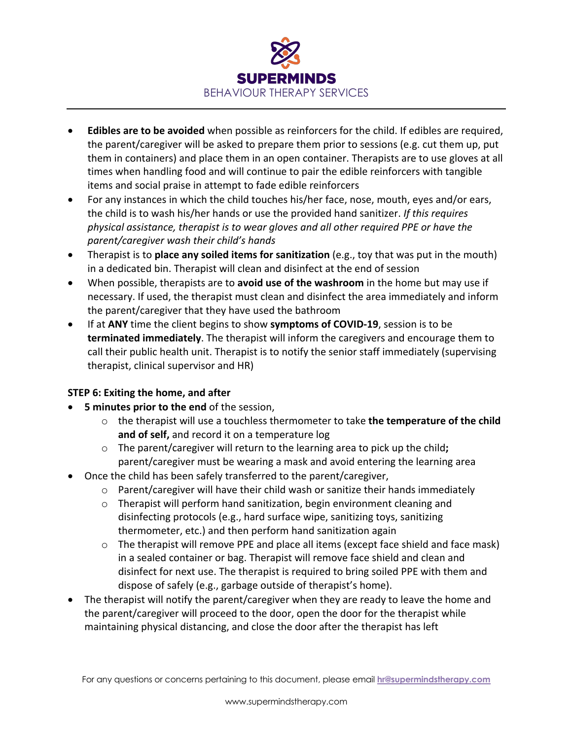

- **Edibles are to be avoided** when possible as reinforcers for the child. If edibles are required, the parent/caregiver will be asked to prepare them prior to sessions (e.g. cut them up, put them in containers) and place them in an open container. Therapists are to use gloves at all times when handling food and will continue to pair the edible reinforcers with tangible items and social praise in attempt to fade edible reinforcers
- For any instances in which the child touches his/her face, nose, mouth, eyes and/or ears, the child is to wash his/her hands or use the provided hand sanitizer. *If this requires physical assistance, therapist is to wear gloves and all other required PPE or have the parent/caregiver wash their child's hands*
- Therapist is to **place any soiled items for sanitization** (e.g., toy that was put in the mouth) in a dedicated bin. Therapist will clean and disinfect at the end of session
- When possible, therapists are to **avoid use of the washroom** in the home but may use if necessary. If used, the therapist must clean and disinfect the area immediately and inform the parent/caregiver that they have used the bathroom
- If at **ANY** time the client begins to show **symptoms of COVID-19**, session is to be **terminated immediately**. The therapist will inform the caregivers and encourage them to call their public health unit. Therapist is to notify the senior staff immediately (supervising therapist, clinical supervisor and HR)

## **STEP 6: Exiting the home, and after**

- **5 minutes prior to the end** of the session,
	- o the therapist will use a touchless thermometer to take **the temperature of the child and of self,** and record it on a temperature log
	- o The parent/caregiver will return to the learning area to pick up the child**;**  parent/caregiver must be wearing a mask and avoid entering the learning area
- Once the child has been safely transferred to the parent/caregiver,
	- $\circ$  Parent/caregiver will have their child wash or sanitize their hands immediately
	- o Therapist will perform hand sanitization, begin environment cleaning and disinfecting protocols (e.g., hard surface wipe, sanitizing toys, sanitizing thermometer, etc.) and then perform hand sanitization again
	- o The therapist will remove PPE and place all items (except face shield and face mask) in a sealed container or bag. Therapist will remove face shield and clean and disinfect for next use. The therapist is required to bring soiled PPE with them and dispose of safely (e.g., garbage outside of therapist's home).
- The therapist will notify the parent/caregiver when they are ready to leave the home and the parent/caregiver will proceed to the door, open the door for the therapist while maintaining physical distancing, and close the door after the therapist has left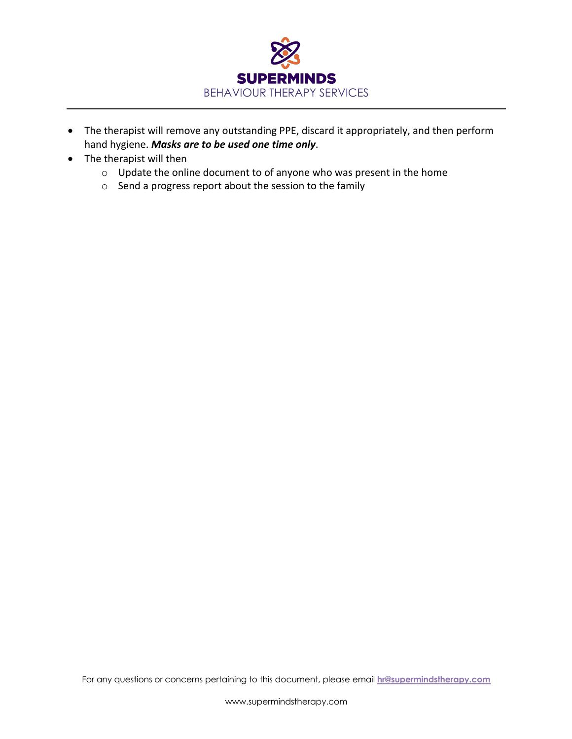

- The therapist will remove any outstanding PPE, discard it appropriately, and then perform hand hygiene. *Masks are to be used one time only*.
- The therapist will then
	- o Update the online document to of anyone who was present in the home
	- o Send a progress report about the session to the family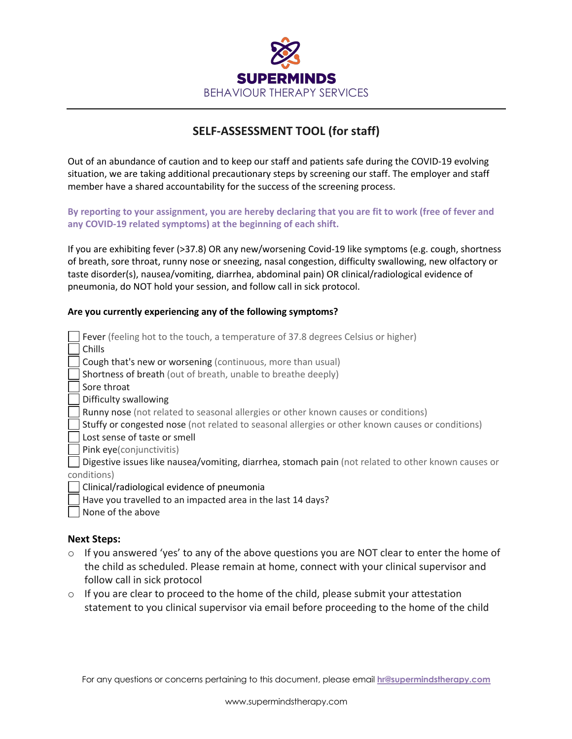

# **SELF-ASSESSMENT TOOL (for staff)**

Out of an abundance of caution and to keep our staff and patients safe during the COVID-19 evolving situation, we are taking additional precautionary steps by screening our staff. The employer and staff member have a shared accountability for the success of the screening process.

**By reporting to your assignment, you are hereby declaring that you are fit to work (free of fever and any COVID-19 related symptoms) at the beginning of each shift.**

If you are exhibiting fever (>37.8) OR any new/worsening Covid-19 like symptoms (e.g. cough, shortness of breath, sore throat, runny nose or sneezing, nasal congestion, difficulty swallowing, new olfactory or taste disorder(s), nausea/vomiting, diarrhea, abdominal pain) OR clinical/radiological evidence of pneumonia, do NOT hold your session, and follow call in sick protocol.

#### **Are you currently experiencing any of the following symptoms?**

| Fever (feeling hot to the touch, a temperature of 37.8 degrees Celsius or higher)                   |
|-----------------------------------------------------------------------------------------------------|
| Chills                                                                                              |
| Cough that's new or worsening (continuous, more than usual)                                         |
| Shortness of breath (out of breath, unable to breathe deeply)                                       |
| Sore throat                                                                                         |
| Difficulty swallowing                                                                               |
| Runny nose (not related to seasonal allergies or other known causes or conditions)                  |
| Stuffy or congested nose (not related to seasonal allergies or other known causes or conditions)    |
| Lost sense of taste or smell                                                                        |
| Pink eye(conjunctivitis)                                                                            |
| Digestive issues like nausea/vomiting, diarrhea, stomach pain (not related to other known causes or |
| conditions)                                                                                         |
| Clinical/radiological evidence of pneumonia                                                         |
| Have you travelled to an impacted area in the last 14 days?                                         |
| None of the above                                                                                   |

#### **Next Steps:**

- $\circ$  If you answered 'yes' to any of the above questions you are NOT clear to enter the home of the child as scheduled. Please remain at home, connect with your clinical supervisor and follow call in sick protocol
- $\circ$  If you are clear to proceed to the home of the child, please submit your attestation statement to you clinical supervisor via email before proceeding to the home of the child